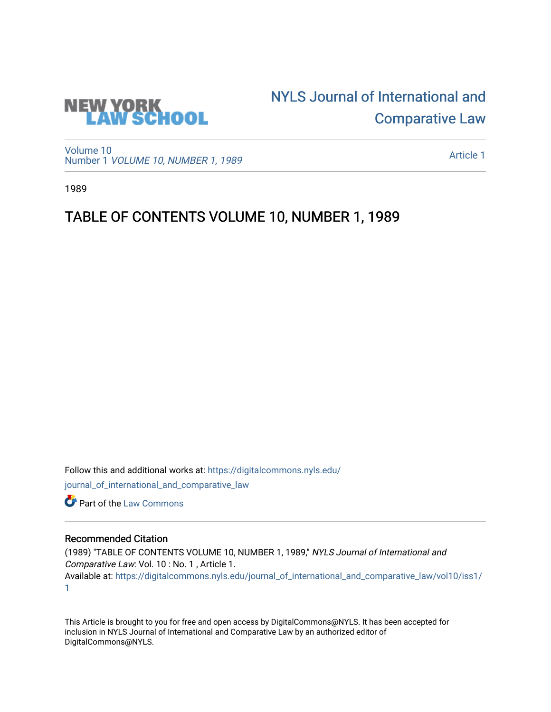

## [NYLS Journal of International and](https://digitalcommons.nyls.edu/journal_of_international_and_comparative_law)  [Comparative Law](https://digitalcommons.nyls.edu/journal_of_international_and_comparative_law)

[Volume 10](https://digitalcommons.nyls.edu/journal_of_international_and_comparative_law/vol10) Number 1 [VOLUME 10, NUMBER 1, 1989](https://digitalcommons.nyls.edu/journal_of_international_and_comparative_law/vol10/iss1) 

[Article 1](https://digitalcommons.nyls.edu/journal_of_international_and_comparative_law/vol10/iss1/1) 

1989

## TABLE OF CONTENTS VOLUME 10, NUMBER 1, 1989

Follow this and additional works at: [https://digitalcommons.nyls.edu/](https://digitalcommons.nyls.edu/journal_of_international_and_comparative_law?utm_source=digitalcommons.nyls.edu%2Fjournal_of_international_and_comparative_law%2Fvol10%2Fiss1%2F1&utm_medium=PDF&utm_campaign=PDFCoverPages) [journal\\_of\\_international\\_and\\_comparative\\_law](https://digitalcommons.nyls.edu/journal_of_international_and_comparative_law?utm_source=digitalcommons.nyls.edu%2Fjournal_of_international_and_comparative_law%2Fvol10%2Fiss1%2F1&utm_medium=PDF&utm_campaign=PDFCoverPages) 

Part of the [Law Commons](http://network.bepress.com/hgg/discipline/578?utm_source=digitalcommons.nyls.edu%2Fjournal_of_international_and_comparative_law%2Fvol10%2Fiss1%2F1&utm_medium=PDF&utm_campaign=PDFCoverPages)

## Recommended Citation

(1989) "TABLE OF CONTENTS VOLUME 10, NUMBER 1, 1989," NYLS Journal of International and Comparative Law: Vol. 10 : No. 1 , Article 1. Available at: [https://digitalcommons.nyls.edu/journal\\_of\\_international\\_and\\_comparative\\_law/vol10/iss1/](https://digitalcommons.nyls.edu/journal_of_international_and_comparative_law/vol10/iss1/1?utm_source=digitalcommons.nyls.edu%2Fjournal_of_international_and_comparative_law%2Fvol10%2Fiss1%2F1&utm_medium=PDF&utm_campaign=PDFCoverPages) [1](https://digitalcommons.nyls.edu/journal_of_international_and_comparative_law/vol10/iss1/1?utm_source=digitalcommons.nyls.edu%2Fjournal_of_international_and_comparative_law%2Fvol10%2Fiss1%2F1&utm_medium=PDF&utm_campaign=PDFCoverPages) 

This Article is brought to you for free and open access by DigitalCommons@NYLS. It has been accepted for inclusion in NYLS Journal of International and Comparative Law by an authorized editor of DigitalCommons@NYLS.